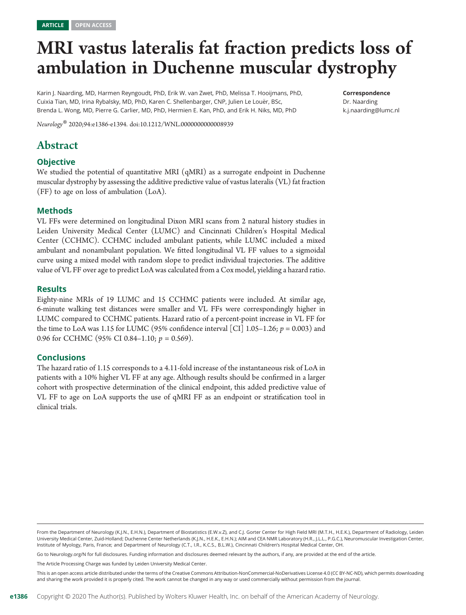# MRI vastus lateralis fat fraction predicts loss of ambulation in Duchenne muscular dystrophy

Karin J. Naarding, MD, Harmen Reyngoudt, PhD, Erik W. van Zwet, PhD, Melissa T. Hooijmans, PhD, Cuixia Tian, MD, Irina Rybalsky, MD, PhD, Karen C. Shellenbarger, CNP, Julien Le Louër, BSc, Brenda L. Wong, MD, Pierre G. Carlier, MD, PhD, Hermien E. Kan, PhD, and Erik H. Niks, MD, PhD

Correspondence Dr. Naarding [k.j.naarding@lumc.nl](mailto:k.j.naarding@lumc.nl)

Neurology® 2020;94:e1386-e1394. doi[:10.1212/WNL.0000000000008939](http://dx.doi.org/10.1212/WNL.0000000000008939)

# Abstract

#### **Objective**

We studied the potential of quantitative MRI (qMRI) as a surrogate endpoint in Duchenne muscular dystrophy by assessing the additive predictive value of vastus lateralis (VL) fat fraction (FF) to age on loss of ambulation (LoA).

#### Methods

VL FFs were determined on longitudinal Dixon MRI scans from 2 natural history studies in Leiden University Medical Center (LUMC) and Cincinnati Children's Hospital Medical Center (CCHMC). CCHMC included ambulant patients, while LUMC included a mixed ambulant and nonambulant population. We fitted longitudinal VL FF values to a sigmoidal curve using a mixed model with random slope to predict individual trajectories. The additive value of VL FF over age to predict LoA was calculated from a Cox model, yielding a hazard ratio.

#### **Results**

Eighty-nine MRIs of 19 LUMC and 15 CCHMC patients were included. At similar age, 6-minute walking test distances were smaller and VL FFs were correspondingly higher in LUMC compared to CCHMC patients. Hazard ratio of a percent-point increase in VL FF for the time to LoA was 1.15 for LUMC (95% confidence interval [CI] 1.05–1.26;  $p = 0.003$ ) and 0.96 for CCHMC (95% CI 0.84–1.10;  $p = 0.569$ ).

#### **Conclusions**

The hazard ratio of 1.15 corresponds to a 4.11-fold increase of the instantaneous risk of LoA in patients with a 10% higher VL FF at any age. Although results should be confirmed in a larger cohort with prospective determination of the clinical endpoint, this added predictive value of VL FF to age on LoA supports the use of qMRI FF as an endpoint or stratification tool in clinical trials.

Go to [Neurology.org/N](https://n.neurology.org/lookup/doi/10.1212/WNL.0000000000008939) for full disclosures. Funding information and disclosures deemed relevant by the authors, if any, are provided at the end of the article.

The Article Processing Charge was funded by Leiden University Medical Center.

This is an open access article distributed under the terms of the [Creative Commons Attribution-NonCommercial-NoDerivatives License 4.0 \(CC BY-NC-ND\)](http://creativecommons.org/licenses/by-nc-nd/4.0/), which permits downloading and sharing the work provided it is properly cited. The work cannot be changed in any way or used commercially without permission from the journal.

From the Department of Neurology (K.J.N., E.H.N.), Department of Biostatistics (E.W.v.Z), and C.J. Gorter Center for High Field MRI (M.T.H., H.E.K.), Department of Radiology, Leiden University Medical Center, Zuid-Holland; Duchenne Center Netherlands (K.J.N., H.E.K., E.H.N.); AIM and CEA NMR Laboratory (H.R., J.L.L., P.G.C.), Neuromuscular Investigation Center, Institute of Myology, Paris, France; and Department of Neurology (C.T., I.R., K.C.S., B.L.W.), Cincinnati Children's Hospital Medical Center, OH.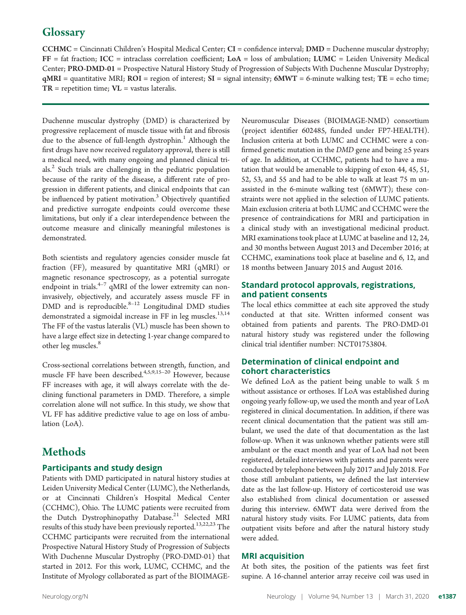# **Glossary**

CCHMC = Cincinnati Children's Hospital Medical Center; CI = confidence interval; DMD = Duchenne muscular dystrophy;  $FF = fat fraction; ICC = intraclass correlation coefficient; LoA = loss of ambulation; LUMC = Leiden University Medical$ Center; PRO-DMD-01 = Prospective Natural History Study of Progression of Subjects With Duchenne Muscular Dystrophy;  $qMRI =$  quantitative MRI;  $ROI =$  region of interest;  $SI =$  signal intensity;  $6MWT = 6$ -minute walking test;  $TE =$  echo time;  $TR$  = repetition time;  $VL$  = vastus lateralis.

Duchenne muscular dystrophy (DMD) is characterized by progressive replacement of muscle tissue with fat and fibrosis due to the absence of full-length dystrophin.<sup>1</sup> Although the first drugs have now received regulatory approval, there is still a medical need, with many ongoing and planned clinical trials.<sup>2</sup> Such trials are challenging in the pediatric population because of the rarity of the disease, a different rate of progression in different patients, and clinical endpoints that can be influenced by patient motivation.<sup>3</sup> Objectively quantified and predictive surrogate endpoints could overcome these limitations, but only if a clear interdependence between the outcome measure and clinically meaningful milestones is demonstrated.

Both scientists and regulatory agencies consider muscle fat fraction (FF), measured by quantitative MRI (qMRI) or magnetic resonance spectroscopy, as a potential surrogate endpoint in trials. $4-7$  qMRI of the lower extremity can noninvasively, objectively, and accurately assess muscle FF in DMD and is reproducible.<sup>8-12</sup> Longitudinal DMD studies demonstrated a sigmoidal increase in FF in leg muscles.<sup>13,14</sup> The FF of the vastus lateralis (VL) muscle has been shown to have a large effect size in detecting 1-year change compared to other leg muscles.<sup>8</sup>

Cross-sectional correlations between strength, function, and muscle FF have been described.<sup>4,5,9,15-20</sup> However, because FF increases with age, it will always correlate with the declining functional parameters in DMD. Therefore, a simple correlation alone will not suffice. In this study, we show that VL FF has additive predictive value to age on loss of ambulation (LoA).

# Methods

## Participants and study design

Patients with DMD participated in natural history studies at Leiden University Medical Center (LUMC), the Netherlands, or at Cincinnati Children's Hospital Medical Center (CCHMC), Ohio. The LUMC patients were recruited from the Dutch Dystrophinopathy Database.<sup>21</sup> Selected MRI results of this study have been previously reported.<sup>13,22,23</sup> The CCHMC participants were recruited from the international Prospective Natural History Study of Progression of Subjects With Duchenne Muscular Dystrophy (PRO-DMD-01) that started in 2012. For this work, LUMC, CCHMC, and the Institute of Myology collaborated as part of the BIOIMAGE-

Neuromuscular Diseases (BIOIMAGE-NMD) consortium (project identifier 602485, funded under FP7-HEALTH). Inclusion criteria at both LUMC and CCHMC were a confirmed genetic mutation in the  $DMD$  gene and being  $\geq$ 5 years of age. In addition, at CCHMC, patients had to have a mutation that would be amenable to skipping of exon 44, 45, 51, 52, 53, and 55 and had to be able to walk at least 75 m unassisted in the 6-minute walking test (6MWT); these constraints were not applied in the selection of LUMC patients. Main exclusion criteria at both LUMC and CCHMC were the presence of contraindications for MRI and participation in a clinical study with an investigational medicinal product. MRI examinations took place at LUMC at baseline and 12, 24, and 30 months between August 2013 and December 2016; at CCHMC, examinations took place at baseline and 6, 12, and 18 months between January 2015 and August 2016.

#### Standard protocol approvals, registrations, and patient consents

The local ethics committee at each site approved the study conducted at that site. Written informed consent was obtained from patients and parents. The PRO-DMD-01 natural history study was registered under the following clinical trial identifier number: NCT01753804.

#### Determination of clinical endpoint and cohort characteristics

We defined LoA as the patient being unable to walk 5 m without assistance or orthoses. If LoA was established during ongoing yearly follow-up, we used the month and year of LoA registered in clinical documentation. In addition, if there was recent clinical documentation that the patient was still ambulant, we used the date of that documentation as the last follow-up. When it was unknown whether patients were still ambulant or the exact month and year of LoA had not been registered, detailed interviews with patients and parents were conducted by telephone between July 2017 and July 2018. For those still ambulant patients, we defined the last interview date as the last follow-up. History of corticosteroid use was also established from clinical documentation or assessed during this interview. 6MWT data were derived from the natural history study visits. For LUMC patients, data from outpatient visits before and after the natural history study were added.

#### MRI acquisition

At both sites, the position of the patients was feet first supine. A 16-channel anterior array receive coil was used in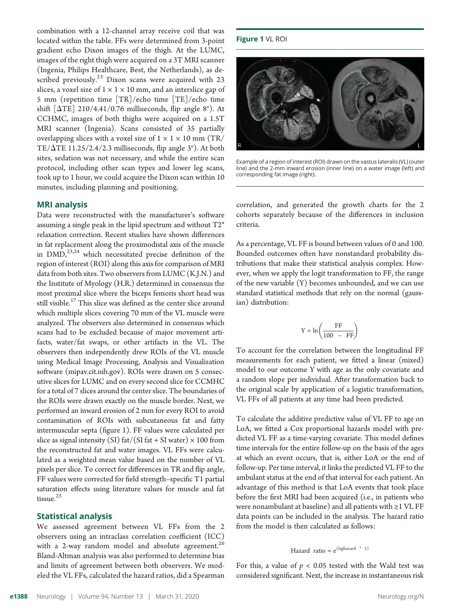combination with a 12-channel array receive coil that was located within the table. FFs were determined from 3-point gradient echo Dixon images of the thigh. At the LUMC, images of the right thigh were acquired on a 3T MRI scanner (Ingenia, Philips Healthcare, Best, the Netherlands), as described previously.<sup>23</sup> Dixon scans were acquired with  $23$ slices, a voxel size of  $1 \times 1 \times 10$  mm, and an interslice gap of 5 mm (repetition time [TR]/echo time [TE]/echo time shift  $[\Delta TE]$  210/4.41/0.76 milliseconds, flip angle 8°). At CCHMC, images of both thighs were acquired on a 1.5T MRI scanner (Ingenia). Scans consisted of 35 partially overlapping slices with a voxel size of  $1 \times 1 \times 10$  mm (TR/ TE/ $\Delta$ TE 11.25/2.4/2.3 milliseconds, flip angle 3°). At both sites, sedation was not necessary, and while the entire scan protocol, including other scan types and lower leg scans, took up to 1 hour, we could acquire the Dixon scan within 10 minutes, including planning and positioning.

#### MRI analysis

Data were reconstructed with the manufacturer's software assuming a single peak in the lipid spectrum and without T2\* relaxation correction. Recent studies have shown differences in fat replacement along the proximodistal axis of the muscle in  $\text{DMD}$ ,<sup>23,24</sup> which necessitated precise definition of the region of interest (ROI) along this axis for comparison of MRI data from both sites. Two observers from LUMC (K.J.N.) and the Institute of Myology (H.R.) determined in consensus the most proximal slice where the biceps femoris short head was still visible.<sup>17</sup> This slice was defined as the center slice around which multiple slices covering 70 mm of the VL muscle were analyzed. The observers also determined in consensus which scans had to be excluded because of major movement artifacts, water/fat swaps, or other artifacts in the VL. The observers then independently drew ROIs of the VL muscle using Medical Image Processing, Analysis and Visualization software [\(mipav.cit.nih.gov\)](http://mipav.cit.nih.gov). ROIs were drawn on 5 consecutive slices for LUMC and on every second slice for CCMHC for a total of 7 slices around the center slice. The boundaries of the ROIs were drawn exactly on the muscle border. Next, we performed an inward erosion of 2 mm for every ROI to avoid contamination of ROIs with subcutaneous fat and fatty intermuscular septa (figure 1). FF values were calculated per slice as signal intensity (SI) fat/(SI fat + SI water)  $\times$  100 from the reconstructed fat and water images. VL FFs were calculated as a weighted mean value based on the number of VL pixels per slice. To correct for differences in TR and flip angle, FF values were corrected for field strength–specific T1 partial saturation effects using literature values for muscle and fat tissue.<sup>25</sup>

#### Statistical analysis

We assessed agreement between VL FFs from the 2 observers using an intraclass correlation coefficient (ICC) with a 2-way random model and absolute agreement. $^{26}$ Bland-Altman analysis was also performed to determine bias and limits of agreement between both observers. We modeled the VL FFs, calculated the hazard ratios, did a Spearman

#### Figure 1 VL ROI



Example of a region of interest (ROI) drawn on the vastus lateralis (VL) (outer line) and the 2-mm inward erosion (inner line) on a water image (left) and corresponding fat image (right).

correlation, and generated the growth charts for the 2 cohorts separately because of the differences in inclusion criteria.

As a percentage, VL FF is bound between values of 0 and 100. Bounded outcomes often have nonstandard probability distributions that make their statistical analysis complex. However, when we apply the logit transformation to FF, the range of the new variable (Y) becomes unbounded, and we can use standard statistical methods that rely on the normal (gaussian) distribution:

$$
Y = \ln\left(\frac{FF}{100 - FF}\right)
$$

To account for the correlation between the longitudinal FF measurements for each patient, we fitted a linear (mixed) model to our outcome Y with age as the only covariate and a random slope per individual. After transformation back to the original scale by application of a logistic transformation, VL FFs of all patients at any time had been predicted.

To calculate the additive predictive value of VL FF to age on LoA, we fitted a Cox proportional hazards model with predicted VL FF as a time-varying covariate. This model defines time intervals for the entire follow-up on the basis of the ages at which an event occurs, that is, either LoA or the end of follow-up. Per time interval, it links the predicted VL FF to the ambulant status at the end of that interval for each patient. An advantage of this method is that LoA events that took place before the first MRI had been acquired (i.e., in patients who were nonambulant at baseline) and all patients with ≥1 VL FF data points can be included in the analysis. The hazard ratio from the model is then calculated as follows:

# Hazard ratio =  $e^{(loghazard * 1)}$

For this, a value of  $p < 0.05$  tested with the Wald test was considered significant. Next, the increase in instantaneous risk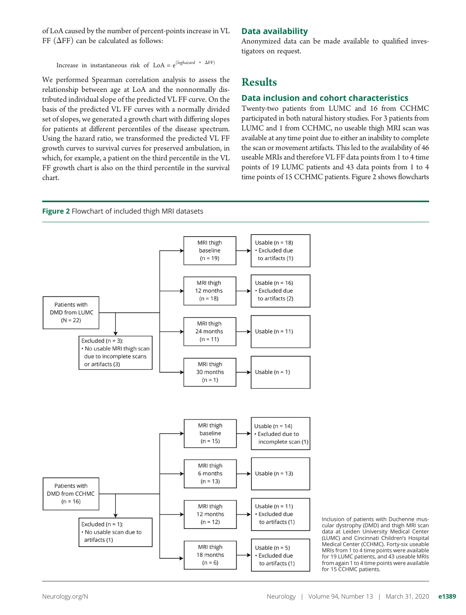of LoA caused by the number of percent-points increase in VL FF ( $\Delta$ FF) can be calculated as follows:

Increase in instantaneous risk of  ${\rm LoA} = {\rm e}^{(loghazard \ * \ \Delta FF)}$ 

We performed Spearman correlation analysis to assess the relationship between age at LoA and the nonnormally distributed individual slope of the predicted VL FF curve. On the basis of the predicted VL FF curves with a normally divided set of slopes, we generated a growth chart with differing slopes for patients at different percentiles of the disease spectrum. Using the hazard ratio, we transformed the predicted VL FF growth curves to survival curves for preserved ambulation, in which, for example, a patient on the third percentile in the VL FF growth chart is also on the third percentile in the survival chart.

#### Data availability

Anonymized data can be made available to qualified investigators on request.

# Results

#### Data inclusion and cohort characteristics

Twenty-two patients from LUMC and 16 from CCHMC participated in both natural history studies. For 3 patients from LUMC and 1 from CCHMC, no useable thigh MRI scan was available at any time point due to either an inability to complete the scan or movement artifacts. This led to the availability of 46 useable MRIs and therefore VL FF data points from 1 to 4 time points of 19 LUMC patients and 43 data points from 1 to 4 time points of 15 CCHMC patients. Figure 2 shows flowcharts



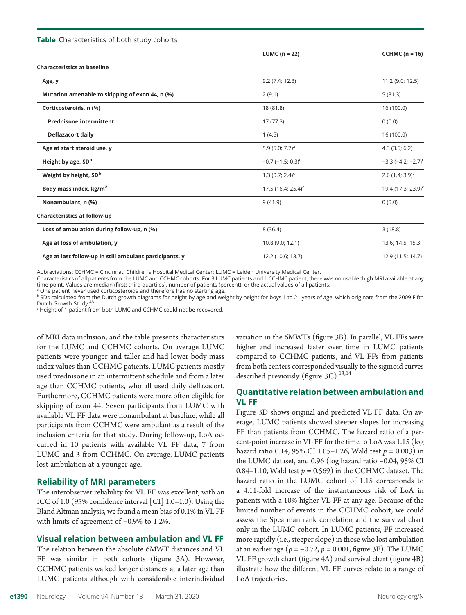**Table** Characteristics of both study cohorts

| LUMC ( $n = 22$ )               | CCHMC $(n = 16)$                 |
|---------------------------------|----------------------------------|
|                                 |                                  |
| 9.2(7.4; 12.3)                  | 11.2 (9.0; 12.5)                 |
| 2(9.1)                          | 5(31.3)                          |
| 18 (81.8)                       | 16 (100.0)                       |
| 17 (77.3)                       | 0(0.0)                           |
| 1(4.5)                          | 16 (100.0)                       |
| 5.9 $(5.0; 7.7)^a$              | 4.3(3.5; 6.2)                    |
| $-0.7$ (-1.5; 0.3) <sup>c</sup> | $-3.3$ (-4.2; -2.7) <sup>c</sup> |
| $1.3(0.7; 2.4)^c$               | $2.6$ (1.4; 3.9) <sup>c</sup>    |
| 17.5 (16.4; 25.4) <sup>c</sup>  | 19.4 (17.3; 23.9) <sup>c</sup>   |
| 9(41.9)                         | 0(0.0)                           |
|                                 |                                  |
| 8(36.4)                         | 3(18.8)                          |
| 10.8 (9.0; 12.1)                | 13.6; 14.5; 15.3                 |
| 12.2 (10.6; 13.7)               | 12.9 (11.5; 14.7)                |
|                                 |                                  |

Abbreviations: CCHMC = Cincinnati Children's Hospital Medical Center; LUMC = Leiden University Medical Center.

Characteristics of all patients from the LUMC and CCHMC cohorts. For 3 LUMC patients and 1 CCHMC patient, there was no usable thigh MRI available at any time point. Values are median (first; third quartiles), number of patients (percent), or the actual values of all patients.

a One patient never used corticosteroids and therefore has no starting age.

b SDs calculated from the Dutch growth diagrams for height by age and weight by height for boys 1 to 21 years of age, which originate from the 2009 Fifth Dutch Growth Study.<sup>43</sup>

 $\epsilon$  Height of 1 patient from both LUMC and CCHMC could not be recovered.

of MRI data inclusion, and the table presents characteristics for the LUMC and CCHMC cohorts. On average LUMC patients were younger and taller and had lower body mass index values than CCHMC patients. LUMC patients mostly used prednisone in an intermittent schedule and from a later age than CCHMC patients, who all used daily deflazacort. Furthermore, CCHMC patients were more often eligible for skipping of exon 44. Seven participants from LUMC with available VL FF data were nonambulant at baseline, while all participants from CCHMC were ambulant as a result of the inclusion criteria for that study. During follow-up, LoA occurred in 10 patients with available VL FF data, 7 from LUMC and 3 from CCHMC. On average, LUMC patients lost ambulation at a younger age.

#### Reliability of MRI parameters

The interobserver reliability for VL FF was excellent, with an ICC of 1.0 (95% confidence interval [CI] 1.0–1.0). Using the Bland Altman analysis, we found a mean bias of 0.1% in VL FF with limits of agreement of −0.9% to 1.2%.

#### Visual relation between ambulation and VL FF

The relation between the absolute 6MWT distances and VL FF was similar in both cohorts (figure 3A). However, CCHMC patients walked longer distances at a later age than LUMC patients although with considerable interindividual

variation in the 6MWTs (figure 3B). In parallel, VL FFs were higher and increased faster over time in LUMC patients compared to CCHMC patients, and VL FFs from patients from both centers corresponded visually to the sigmoid curves described previously (figure  $3C$ ).<sup>13,14</sup>

#### Quantitative relation between ambulation and VL FF

Figure 3D shows original and predicted VL FF data. On average, LUMC patients showed steeper slopes for increasing FF than patients from CCHMC. The hazard ratio of a percent-point increase in VL FF for the time to LoA was 1.15 (log hazard ratio 0.14, 95% CI 1.05–1.26, Wald test  $p = 0.003$ ) in the LUMC dataset, and 0.96 (log hazard ratio −0.04, 95% CI 0.84–1.10, Wald test  $p = 0.569$  in the CCHMC dataset. The hazard ratio in the LUMC cohort of 1.15 corresponds to a 4.11-fold increase of the instantaneous risk of LoA in patients with a 10% higher VL FF at any age. Because of the limited number of events in the CCHMC cohort, we could assess the Spearman rank correlation and the survival chart only in the LUMC cohort. In LUMC patients, FF increased more rapidly (i.e., steeper slope) in those who lost ambulation at an earlier age ( $\rho = -0.72$ ,  $p = 0.001$ , figure 3E). The LUMC VL FF growth chart (figure 4A) and survival chart (figure 4B) illustrate how the different VL FF curves relate to a range of LoA trajectories.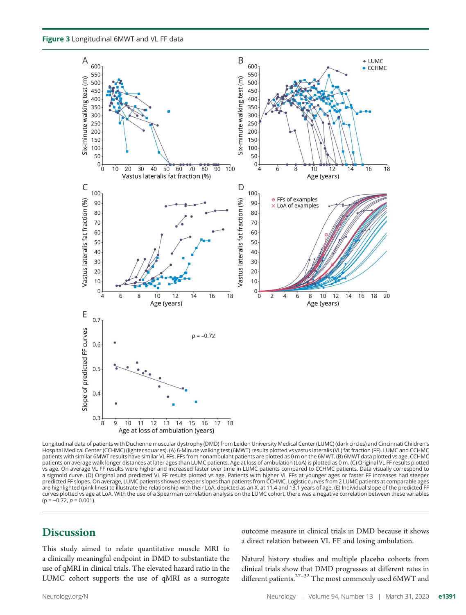Figure 3 Longitudinal 6MWT and VL FF data



Longitudinal data of patients with Duchenne muscular dystrophy (DMD) from Leiden University Medical Center (LUMC) (dark circles) and Cincinnati Children's Hospital Medical Center (CCHMC) (lighter squares). (A) 6-Minute walking test (6MWT) results plotted vs vastus lateralis (VL) fat fraction (FF). LUMC and CCHMC patients with similar 6MWT results have similar VL FFs. FFs from nonambulant patients are plotted as 0 m on the 6MWT. (B) 6MWT data plotted vs age. CCHMC patients on average walk longer distances at later ages than LUMC patients. Age at loss of ambulation (LoA) is plotted as 0 m. (C) Original VL FF results plotted vs age. On average VL FF results were higher and increased faster over time in LUMC patients compared to CCHMC patients. Data visually correspond to a sigmoid curve. (D) Original and predicted VL FF results plotted vs age. Patients with higher VL FFs at younger ages or faster FF increases had steeper predicted FF slopes. On average, LUMC patients showed steeper slopes than patients from CCHMC. Logistic curves from 2 LUMC patients at comparable ages are highlighted (pink lines) to illustrate the relationship with their LoA, depicted as an X, at 11.4 and 13.1 years of age. (E) Individual slope of the predicted FF curves plotted vs age at LoA. With the use of a Spearman correlation analysis on the LUMC cohort, there was a negative correlation between these variables  $(p = -0.72, p = 0.001).$ 

# **Discussion**

This study aimed to relate quantitative muscle MRI to a clinically meaningful endpoint in DMD to substantiate the use of qMRI in clinical trials. The elevated hazard ratio in the LUMC cohort supports the use of qMRI as a surrogate outcome measure in clinical trials in DMD because it shows a direct relation between VL FF and losing ambulation.

Natural history studies and multiple placebo cohorts from clinical trials show that DMD progresses at different rates in different patients.<sup>27–32</sup> The most commonly used 6MWT and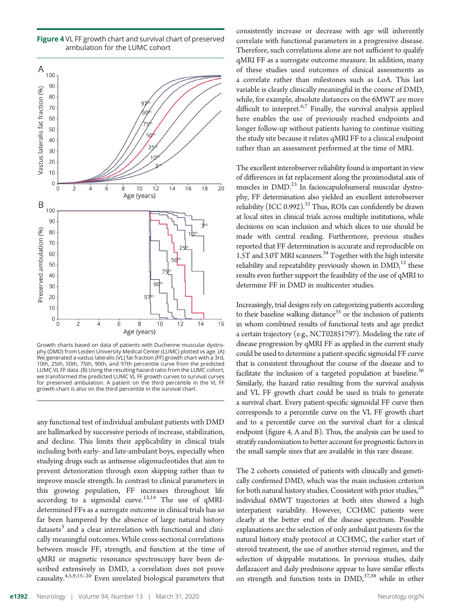

Figure 4 VL FF growth chart and survival chart of preserved ambulation for the LUMC cohort

Growth charts based on data of patients with Duchenne muscular dystrophy (DMD) from Leiden University Medical Center (LUMC) plotted vs age. (A) We generated a vastus lateralis (VL) fat fraction (FF) growth chart with a 3rd, 10th, 25th, 50th, 75th, 90th, and 97th percentile curve from the predicted LUMC VL FF data. (B) Using the resulting hazard ratio from the LUMC cohort, we transformed the predicted LUMC VL FF growth curves to survival curves for preserved ambulation. A patient on the third percentile in the VL FF growth chart is also on the third percentile in the survival chart.

any functional test of individual ambulant patients with DMD are hallmarked by successive periods of increase, stabilization, and decline. This limits their applicability in clinical trials including both early- and late-ambulant boys, especially when studying drugs such as antisense oligonucleotides that aim to prevent deterioration through exon skipping rather than to improve muscle strength. In contrast to clinical parameters in this growing population, FF increases throughout life according to a sigmoidal curve.<sup>13,14</sup> The use of qMRIdetermined FFs as a surrogate outcome in clinical trials has so far been hampered by the absence of large natural history  $datasets<sup>3</sup>$  and a clear interrelation with functional and clinically meaningful outcomes. While cross-sectional correlations between muscle FF, strength, and function at the time of qMRI or magnetic resonance spectroscopy have been described extensively in DMD, a correlation does not prove causality.4,5,9,15–<sup>20</sup> Even unrelated biological parameters that

consistently increase or decrease with age will inherently correlate with functional parameters in a progressive disease. Therefore, such correlations alone are not sufficient to qualify qMRI FF as a surrogate outcome measure. In addition, many of these studies used outcomes of clinical assessments as a correlate rather than milestones such as LoA. This last variable is clearly clinically meaningful in the course of DMD, while, for example, absolute distances on the 6MWT are more difficult to interpret.<sup>6,7</sup> Finally, the survival analysis applied here enables the use of previously reached endpoints and longer follow-up without patients having to continue visiting the study site because it relates qMRI FF to a clinical endpoint rather than an assessment performed at the time of MRI.

The excellent interobserver reliability found is important in view of differences in fat replacement along the proximodistal axis of muscles in DMD.<sup>23</sup> In facioscapulohumeral muscular dystrophy, FF determination also yielded an excellent interobserver reliability (ICC 0.992).<sup>33</sup> Thus, ROIs can confidently be drawn at local sites in clinical trials across multiple institutions, while decisions on scan inclusion and which slices to use should be made with central reading. Furthermore, previous studies reported that FF determination is accurate and reproducible on 1.5T and 3.0T MRI scanners.<sup>34</sup> Together with the high intersite reliability and repeatability previously shown in  $\text{DMD}$ ,<sup>12</sup> these results even further support the feasibility of the use of qMRI to determine FF in DMD in multicenter studies.

Increasingly, trial designs rely on categorizing patients according to their baseline walking distance<sup>35</sup> or the inclusion of patients in whom combined results of functional tests and age predict a certain trajectory (e.g., NCT02851797). Modeling the rate of disease progression by qMRI FF as applied in the current study could be used to determine a patient-specific sigmoidal FF curve that is consistent throughout the course of the disease and to facilitate the inclusion of a targeted population at baseline.<sup>36</sup> Similarly, the hazard ratio resulting from the survival analysis and VL FF growth chart could be used in trials to generate a survival chart. Every patient-specific sigmoidal FF curve then corresponds to a percentile curve on the VL FF growth chart and to a percentile curve on the survival chart for a clinical endpoint (figure 4, A and B). Thus, the analysis can be used to stratify randomization to better account for prognostic factors in the small sample sizes that are available in this rare disease.

The 2 cohorts consisted of patients with clinically and genetically confirmed DMD, which was the main inclusion criterion for both natural history studies. Consistent with prior studies, $^{28}$ individual 6MWT trajectories at both sites showed a high interpatient variability. However, CCHMC patients were clearly at the better end of the disease spectrum. Possible explanations are the selection of only ambulant patients for the natural history study protocol at CCHMC, the earlier start of steroid treatment, the use of another steroid regimen, and the selection of skippable mutations. In previous studies, daily deflazacort and daily prednisone appear to have similar effects on strength and function tests in  $\text{DMD}$ ,<sup>37,38</sup> while in other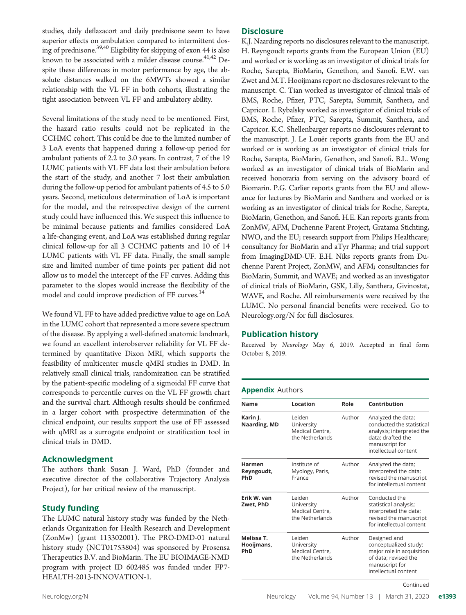studies, daily deflazacort and daily prednisone seem to have superior effects on ambulation compared to intermittent dosing of prednisone.<sup>39,40</sup> Eligibility for skipping of exon 44 is also known to be associated with a milder disease course.<sup>41,42</sup> Despite these differences in motor performance by age, the absolute distances walked on the 6MWTs showed a similar relationship with the VL FF in both cohorts, illustrating the tight association between VL FF and ambulatory ability.

Several limitations of the study need to be mentioned. First, the hazard ratio results could not be replicated in the CCHMC cohort. This could be due to the limited number of 3 LoA events that happened during a follow-up period for ambulant patients of 2.2 to 3.0 years. In contrast, 7 of the 19 LUMC patients with VL FF data lost their ambulation before the start of the study, and another 7 lost their ambulation during the follow-up period for ambulant patients of 4.5 to 5.0 years. Second, meticulous determination of LoA is important for the model, and the retrospective design of the current study could have influenced this. We suspect this influence to be minimal because patients and families considered LoA a life-changing event, and LoA was established during regular clinical follow-up for all 3 CCHMC patients and 10 of 14 LUMC patients with VL FF data. Finally, the small sample size and limited number of time points per patient did not allow us to model the intercept of the FF curves. Adding this parameter to the slopes would increase the flexibility of the model and could improve prediction of FF curves.<sup>14</sup>

We found VL FF to have added predictive value to age on LoA in the LUMC cohort that represented a more severe spectrum of the disease. By applying a well-defined anatomic landmark, we found an excellent interobserver reliability for VL FF determined by quantitative Dixon MRI, which supports the feasibility of multicenter muscle qMRI studies in DMD. In relatively small clinical trials, randomization can be stratified by the patient-specific modeling of a sigmoidal FF curve that corresponds to percentile curves on the VL FF growth chart and the survival chart. Although results should be confirmed in a larger cohort with prospective determination of the clinical endpoint, our results support the use of FF assessed with qMRI as a surrogate endpoint or stratification tool in clinical trials in DMD.

#### Acknowledgment

The authors thank Susan J. Ward, PhD (founder and executive director of the collaborative Trajectory Analysis Project), for her critical review of the manuscript.

## Study funding

The LUMC natural history study was funded by the Netherlands Organization for Health Research and Development (ZonMw) (grant 113302001). The PRO-DMD-01 natural history study (NCT01753804) was sponsored by Prosensa Therapeutics B.V. and BioMarin. The EU BIOIMAGE-NMD program with project ID 602485 was funded under FP7- HEALTH-2013-INNOVATION-1.

#### **Disclosure**

K.J. Naarding reports no disclosures relevant to the manuscript. H. Reyngoudt reports grants from the European Union (EU) and worked or is working as an investigator of clinical trials for Roche, Sarepta, BioMarin, Genethon, and Sanofi. E.W. van Zwet and M.T. Hooijmans report no disclosures relevant to the manuscript. C. Tian worked as investigator of clinical trials of BMS, Roche, Pfizer, PTC, Sarepta, Summit, Santhera, and Capricor. I. Rybalsky worked as investigator of clinical trials of BMS, Roche, Pfizer, PTC, Sarepta, Summit, Santhera, and Capricor. K.C. Shellenbarger reports no disclosures relevant to the manuscript. J. Le Louër reports grants from the EU and worked or is working as an investigator of clinical trials for Roche, Sarepta, BioMarin, Genethon, and Sanofi. B.L. Wong worked as an investigator of clinical trials of BioMarin and received honoraria from serving on the advisory board of Biomarin. P.G. Carlier reports grants from the EU and allowance for lectures by BioMarin and Santhera and worked or is working as an investigator of clinical trials for Roche, Sarepta, BioMarin, Genethon, and Sanofi. H.E. Kan reports grants from ZonMW, AFM, Duchenne Parent Project, Gratama Stichting, NWO, and the EU; research support from Philips Healthcare; consultancy for BioMarin and aTyr Pharma; and trial support from ImagingDMD-UF. E.H. Niks reports grants from Duchenne Parent Project, ZonMW, and AFM; consultancies for BioMarin, Summit, and WAVE; and worked as an investigator of clinical trials of BioMarin, GSK, Lilly, Santhera, Givinostat, WAVE, and Roche. All reimbursements were received by the LUMC. No personal financial benefits were received. Go to [Neurology.org/N](https://n.neurology.org/lookup/doi/10.1212/WNL.0000000000008939) for full disclosures.

#### Publication history

Received by Neurology May 6, 2019. Accepted in final form October 8, 2019.

#### Appendix Authors

| Name                                      | Location                                                    | Role   | Contribution                                                                                                                                |
|-------------------------------------------|-------------------------------------------------------------|--------|---------------------------------------------------------------------------------------------------------------------------------------------|
| Karin J.<br>Naarding, MD                  | l eiden<br>University<br>Medical Centre,<br>the Netherlands | Author | Analyzed the data;<br>conducted the statistical<br>analysis; interpreted the<br>data; drafted the<br>manuscript for<br>intellectual content |
| <b>Harmen</b><br>Reyngoudt,<br><b>PhD</b> | Institute of<br>Myology, Paris,<br>France                   | Author | Analyzed the data;<br>interpreted the data;<br>revised the manuscript<br>for intellectual content                                           |
| Erik W. van<br>Zwet, PhD                  | l eiden<br>University<br>Medical Centre,<br>the Netherlands | Author | Conducted the<br>statistical analysis;<br>interpreted the data;<br>revised the manuscript<br>for intellectual content                       |
| Melissa T.<br>Hooijmans,<br><b>PhD</b>    | Leiden<br>University<br>Medical Centre,<br>the Netherlands  | Author | Designed and<br>conceptualized study;<br>major role in acquisition<br>of data; revised the<br>manuscript for<br>intellectual content        |

Continued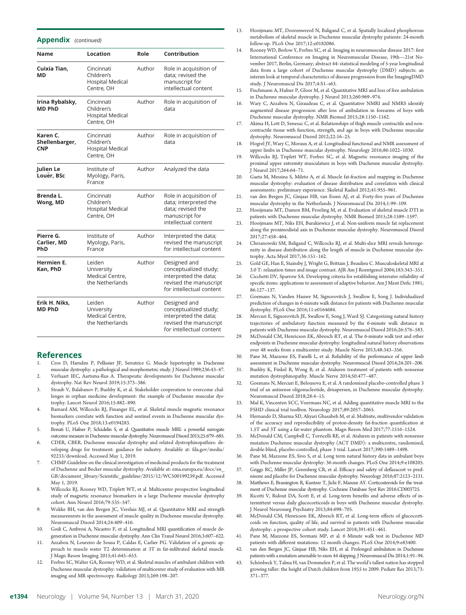#### Appendix (continued)

| <b>Name</b>                              | Location                                                          | Role   | Contribution                                                                                                         |
|------------------------------------------|-------------------------------------------------------------------|--------|----------------------------------------------------------------------------------------------------------------------|
| Cuixia Tian,<br>МD                       | Cincinnati<br>Children's<br><b>Hospital Medical</b><br>Centre, OH | Author | Role in acquisition of<br>data; revised the<br>manuscript for<br>intellectual content                                |
| Irina Rybalsky,<br>MD PhD                | Cincinnati<br>Children's<br><b>Hospital Medical</b><br>Centre, OH | Author | Role in acquisition of<br>data                                                                                       |
| Karen C.<br>Shellenbarger,<br><b>CNP</b> | Cincinnati<br>Children's<br><b>Hospital Medical</b><br>Centre, OH | Author | Role in acquisition of<br>data                                                                                       |
| Julien Le<br>Louër, BSc                  | Institute of<br>Myology, Paris,<br>France                         | Author | Analyzed the data                                                                                                    |
| Brenda L.<br>Wong, MD                    | Cincinnati<br>Children's<br><b>Hospital Medical</b><br>Centre, OH | Author | Role in acquisition of<br>data; interpreted the<br>data; revised the<br>manuscript for<br>intellectual content       |
| Pierre G.<br>Carlier, MD<br>PhD          | Institute of<br>Myology, Paris,<br>France                         | Author | Interpreted the data;<br>revised the manuscript<br>for intellectual content                                          |
| Hermien E.<br>Kan. PhD                   | Leiden<br>University<br>Medical Centre,<br>the Netherlands        | Author | Designed and<br>conceptualized study;<br>interpreted the data;<br>revised the manuscript<br>for intellectual content |
| Erik H. Niks,<br><b>MD PhD</b>           | Leiden<br>University<br>Medical Centre,<br>the Netherlands        | Author | Designed and<br>conceptualized study;<br>interpreted the data;<br>revised the manuscript<br>for intellectual content |

#### References

- 1. Cros D, Harnden P, Pellissier JF, Serratrice G. Muscle hypertrophy in Duchenne muscular dystrophy: a pathological and morphometric study. J Neurol 1989;236:43–47.
- 2. Verhaart IEC, Aartsma-Rus A. Therapeutic developments for Duchenne muscular dystrophy. Nat Rev Neurol 2019;15:373–386.
- Straub V, Balabanov P, Bushby K, et al. Stakeholder cooperation to overcome challenges in orphan medicine development: the example of Duchenne muscular dystrophy. Lancet Neurol 2016;15:882–890.
- 4. Barnard AM, Willcocks RJ, Finanger EL, et al. Skeletal muscle magnetic resonance biomarkers correlate with function and sentinel events in Duchenne muscular dystrophy. PLoS One 2018;13:e0194283.
- 5. Bonati U, Hafner P, Schädelin S, et al. Quantitative muscle MRI: a powerful surrogate outcome measure in Duchenne muscular dystrophy. Neuromuscul Disord 2015;25:679–685.
- 6. CDER, CBER. Duchenne muscular dystrophy and related dystrophinopathies: developing drugs for treatment: guidance for industry. Available at: [fda.gov/media/](https://www.fda.gov/media/92233/download) [92233/download](https://www.fda.gov/media/92233/download). Accessed May 1, 2019.
- 7. CHMP.Guideline on the clinical investigation of medicinal products for the treatment of Duchenne and Becker muscular dystrophy. Available at: [ema.europa.eu/docs/en\\_](http://www.ema.europa.eu/docs/en_GB/document_library/Scientific_guideline/2015/12/WC500199239.pdf) GB/document\_library/Scientifi[c\\_guideline/2015/12/WC500199239.pdf](http://www.ema.europa.eu/docs/en_GB/document_library/Scientific_guideline/2015/12/WC500199239.pdf). Accessed May 1, 2019.
- 8. Willcocks RJ, Rooney WD, Triplett WT, et al. Multicenter prospective longitudinal study of magnetic resonance biomarkers in a large Duchenne muscular dystrophy cohort. Ann Neurol 2016;79:535–547.
- 9. Wokke BH, van den Bergen JC, Versluis MJ, et al. Quantitative MRI and strength measurements in the assessment of muscle quality in Duchenne muscular dystrophy. Neuromuscul Disord 2014;24:409–416.
- 10. Godi C, Ambrosi A, Nicastro F, et al. Longitudinal MRI quantification of muscle degeneration in Duchenne muscular dystrophy. Ann Clin Transl Neurol 2016;3:607–622.
- 11. Azzabou N, Loureiro de Sousa P, Caldas E, Carlier PG. Validation of a generic approach to muscle water T2 determination at 3T in fat-infiltrated skeletal muscle. J Magn Reson Imaging 2015;41:645–653.
- 12. Forbes SC, Walter GA, Rooney WD, et al. Skeletal muscles of ambulant children with Duchenne muscular dystrophy: validation of multicenter study of evaluation with MR imaging and MR spectroscopy. Radiology 2013;269:198–207.
- 13. Hooijmans MT, Doorenweerd N, Baligand C, et al. Spatially localized phosphorous metabolism of skeletal muscle in Duchenne muscular dystrophy patients: 24-month follow-up. PLoS One 2017;12:e0182086.
- 14. Rooney WD, Berlow Y, Forbes SC, et al. Imaging in neuromuscular disease 2017: first International Conference on Imaging in Neuromuscular Disease, 19th—21st November 2017, Berlin, Germany; abstract 44: statistical modeling of 5-year longitudinal data from a large cohort of Duchenne muscular dystrophy (DMD) subjects: an interim look at temporal characteristics of disease progression from the ImagingDMD study. J Neuromuscul Dis 2017;4:S1–s63.
- 15. Fischmann A, Hafner P, Gloor M, et al. Quantitative MRI and loss of free ambulation in Duchenne muscular dystrophy. J Neurol 2013;260:969–974.
- 16. Wary C, Azzabou N, Giraudeau C, et al. Quantitative NMRI and NMRS identify augmented disease progression after loss of ambulation in forearms of boys with Duchenne muscular dystrophy. NMR Biomed 2015;28:1150–1162.
- 17. Akima H, Lott D, Senesac C, et al. Relationships of thigh muscle contractile and noncontractile tissue with function, strength, and age in boys with Duchenne muscular dystrophy. Neuromuscul Disord 2012;22:16–25.
- Hogrel JY, Wary C, Moraux A, et al. Longitudinal functional and NMR assessment of upper limbs in Duchenne muscular dystrophy. Neurology 2016;86:1022–1030.
- 19. Willcocks RJ, Triplett WT, Forbes SC, et al. Magnetic resonance imaging of the proximal upper extremity musculature in boys with Duchenne muscular dystrophy. J Neurol 2017;264:64–71.
- 20. Gaeta M, Messina S, Mileto A, et al. Muscle fat-fraction and mapping in Duchenne muscular dystrophy: evaluation of disease distribution and correlation with clinical assessments: preliminary experience. Skeletal Radiol 2012;41:955–961.
- 21. van den Bergen JC, Ginjaar HB, van Essen AJ, et al. Forty-five years of Duchenne muscular dystrophy in the Netherlands. J Neuromuscul Dis 2014;1:99–109.
- 22. Hooijmans MT, Damon BM, Froeling M, et al. Evaluation of skeletal muscle DTI in patients with Duchenne muscular dystrophy. NMR Biomed 2015;28:1589–1597.
- 23. Hooijmans MT, Niks EH, Burakiewicz J, et al. Non-uniform muscle fat replacement along the proximodistal axis in Duchenne muscular dystrophy. Neuromuscul Disord 2017;27:458–464.
- 24. Chrzanowski SM, Baligand C, Willcocks RJ, et al. Multi-slice MRI reveals heterogeneity in disease distribution along the length of muscle in Duchenne muscular dystrophy. Acta Myol 2017;36:151–162.
- 25. Gold GE, Han E, Stainsby J, Wright G, Brittain J, Beaulieu C. Musculoskeletal MRI at 3.0 T: relaxation times and image contrast. AJR Am J Roentgenol 2004;183:343–351.
- 26. Cicchetti DV, Sparrow SA. Developing criteria for establishing interrater reliability of specific items: applications to assessment of adaptive behavior. Am J Ment Defic 1981; 86:127–137.
- 27. Goemans N, Vanden Hauwe M, Signorovitch J, Swallow E, Song J. Individualized prediction of changes in 6-minute walk distance for patients with Duchenne muscular dystrophy. PLoS One 2016;11:e0164684.
- 28. Mercuri E, Signorovitch JE, Swallow E, Song J, Ward SJ. Categorizing natural history trajectories of ambulatory function measured by the 6-minute walk distance in patients with Duchenne muscular dystrophy. Neuromuscul Disord 2016;26:576–583.
- 29. McDonald CM, Henricson EK, Abresch RT, et al. The 6-minute walk test and other endpoints in Duchenne muscular dystrophy: longitudinal natural history observations over 48 weeks from a multicenter study. Muscle Nerve 2013;48:343–356.
- 30. Pane M, Mazzone ES, Fanelli L, et al. Reliability of the performance of upper limb assessment in Duchenne muscular dystrophy. Neuromuscul Disord 2014;24:201–206.
- 31. Bushby K, Finkel R, Wong B, et al. Ataluren treatment of patients with nonsense mutation dystrophinopathy. Muscle Nerve 2014;50:477–487.
- 32. Goemans N, Mercuri E, Belousova E, et al. A randomized placebo-controlled phase 3 trial of an antisense oligonucleotide, drisapersen, in Duchenne muscular dystrophy. Neuromuscul Disord 2018;28:4–15.
- 33. Mul K, Vincenten SCC, Voermans NC, et al. Adding quantitative muscle MRI to the FSHD clinical trial toolbox. Neurology 2017;89:2057–2065.
- 34. Hernando D, Sharma SD, Aliyari Ghasabeh M, et al. Multisite, multivendor validation of the accuracy and reproducibility of proton-density fat-fraction quantification at 1.5T and 3T using a fat-water phantom. Magn Reson Med 2017;77:1516–1524.
- 35. McDonald CM, Campbell C, Torricelli RE, et al. Ataluren in patients with nonsense mutation Duchenne muscular dystrophy (ACT DMD): a multicentre, randomised, double-blind, placebo-controlled, phase 3 trial. Lancet 2017;390:1489–1498.
- 36. Pane M, Mazzone ES, Sivo S, et al. Long term natural history data in ambulant boys with Duchenne muscular dystrophy: 36-month changes. PLoS One 2014;9:e108205.
- 37. Griggs RC, Miller JP, Greenberg CR, et al. Efficacy and safety of deflazacort vs prednisone and placebo for Duchenne muscular dystrophy. Neurology 2016;87:2123–2131.
- 38. Matthews E, Brassington R, Kuntzer T, Jichi F, Manzur AY. Corticosteroids for the treatment of Duchenne muscular dystrophy. Cochrane Database Syst Rev 2016:CD003725.
- 39. Ricotti V, Ridout DA, Scott E, et al. Long-term benefits and adverse effects of intermittent versus daily glucocorticoids in boys with Duchenne muscular dystrophy. J Neurol Neurosurg Psychiatry 2013;84:698–705.
- 40. McDonald CM, Henricson EK, Abresch RT, et al. Long-term effects of glucocorticoids on function, quality of life, and survival in patients with Duchenne muscular dystrophy: a prospective cohort study. Lancet 2018;391:451–461.
- 41. Pane M, Mazzone ES, Sormani MP, et al. 6 Minute walk test in Duchenne MD patients with different mutations: 12 month changes. PLoS One 2014;9:e83400.
- 42. van den Bergen JC, Ginjaar HB, Niks EH, et al. Prolonged ambulation in Duchenne patients with a mutation amenable to exon 44 skipping. J Neuromuscul Dis 2014;1:91–94.
- 43. Schönbeck Y, Talma H, van Dommelen P, et al. The world's tallest nation has stopped growing taller: the height of Dutch children from 1955 to 2009. Pediatr Res 2013;73: 371–377.